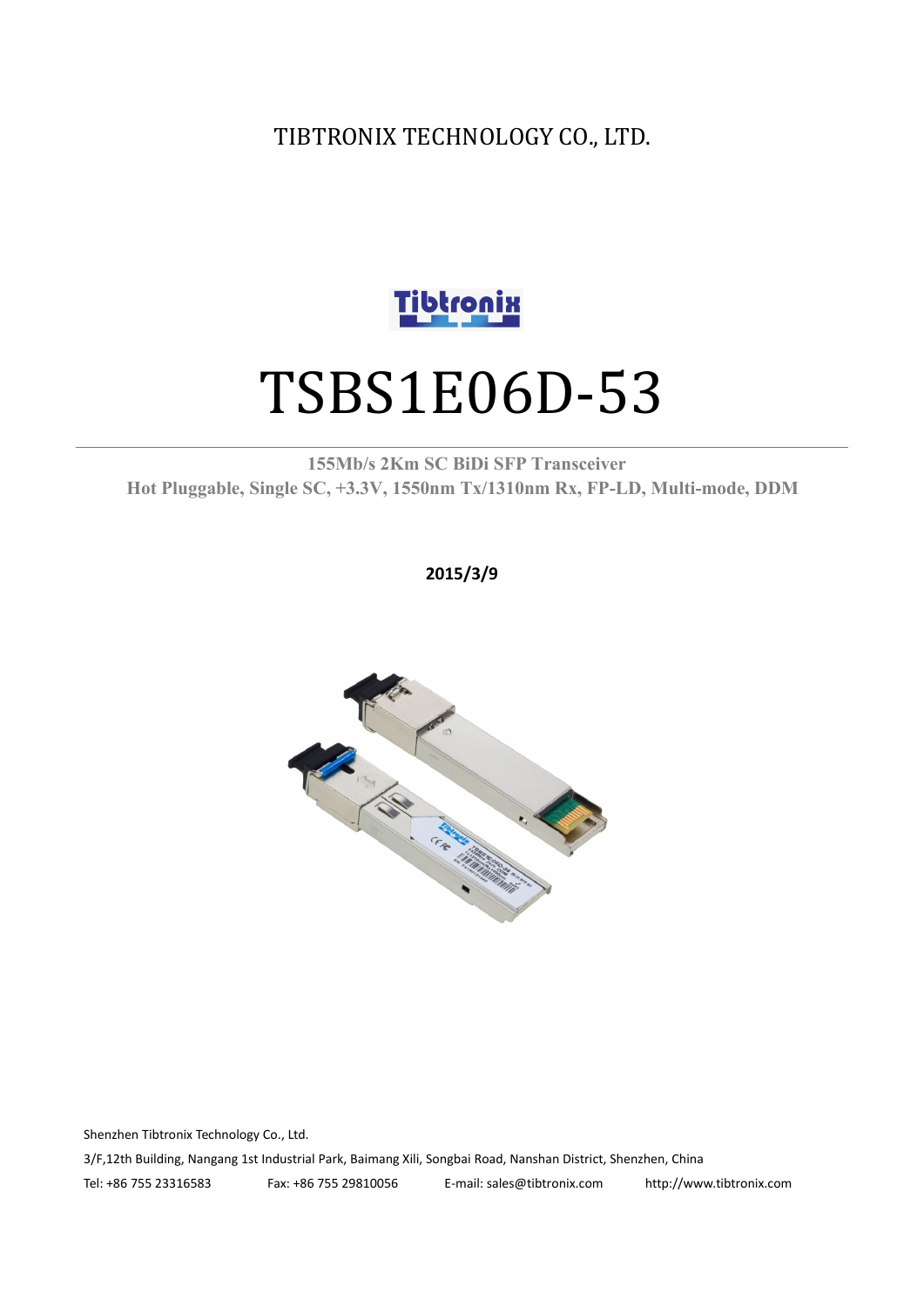TIBTRONIX TECHNOLOGY CO., LTD.



# TSBS1E06D-53

**155Mb/s 2Km SC BiDi SFP Transceiver Hot Pluggable, Single SC, +3.3V, 1550nm Tx/1310nm Rx, FP-LD, Multi-mode, DDM**

**2015/3/9**



Shenzhen Tibtronix Technology Co., Ltd. 3/F,12th Building, Nangang 1st Industrial Park, Baimang Xili, Songbai Road, Nanshan District, Shenzhen, China Tel: +86 755 23316583 Fax: +86 755 29810056 E-mail: sales@tibtronix.com http://www.tibtronix.com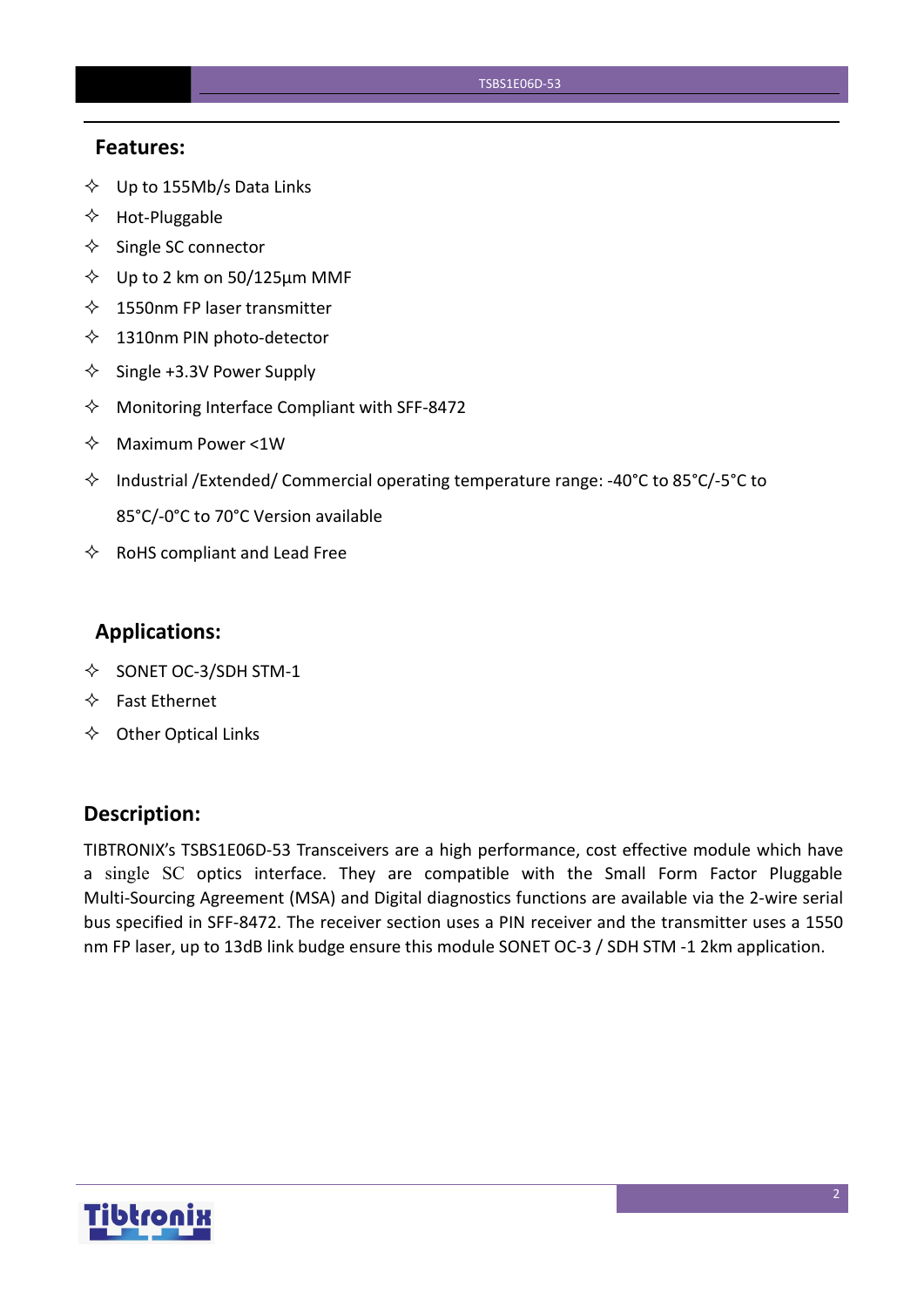#### **Features:**

- $\diamondsuit$  Up to 155Mb/s Data Links
- $\Leftrightarrow$  Hot-Pluggable
- $\Leftrightarrow$  Single SC connector
- $\diamond$  Up to 2 km on 50/125 µm MMF
- $\lozenge$  1550nm FP laser transmitter
- $\diamondsuit$  1310nm PIN photo-detector
- $\diamond$  Single +3.3V Power Supply
- $\Diamond$  Monitoring Interface Compliant with SFF-8472
- $\Diamond$  Maximum Power <1W
- $\Diamond$  Industrial /Extended/ Commercial operating temperature range: -40°C to 85°C/-5°C to 85°C/-0°C to 70°C Version available
- $\Leftrightarrow$  RoHS compliant and Lead Free

## **Applications:**

- $\diamond$  SONET OC-3/SDH STM-1
- $\Leftrightarrow$  Fast Ethernet
- $\Leftrightarrow$  Other Optical Links

#### **Description:**

TIBTRONIX's TSBS1E06D-53 Transceivers are a high performance, cost effective module which have a single SC optics interface. They are compatible with the Small Form Factor Pluggable Multi-Sourcing Agreement (MSA) and Digital diagnostics functions are available via the 2-wire serial bus specified in SFF-8472. The receiver section uses a PIN receiver and the transmitter uses a 1550 nm FP laser, up to 13dB link budge ensure this module SONET OC-3 / SDH STM -1 2km application.

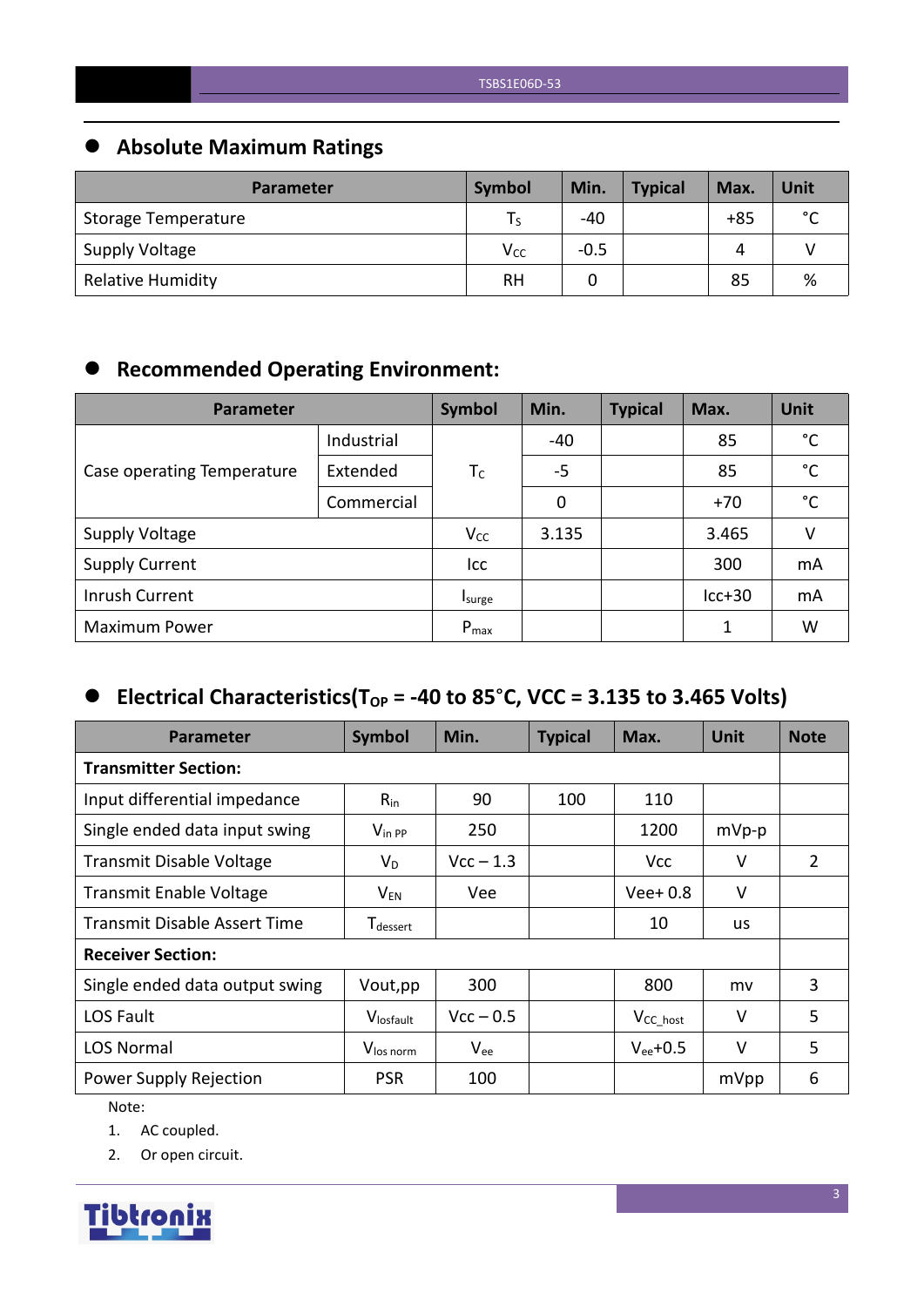## **Absolute Maximum Ratings**

| <b>Parameter</b>         | Symbol          | Min.   | <b>Typical</b> | Max.  | Unit        |
|--------------------------|-----------------|--------|----------------|-------|-------------|
| Storage Temperature      |                 | $-40$  |                | $+85$ | $\sim$<br>֊ |
| Supply Voltage           | V <sub>cc</sub> | $-0.5$ |                | Δ     |             |
| <b>Relative Humidity</b> | <b>RH</b>       |        |                | 85    | %           |

## **Recommended Operating Environment:**

| Parameter                  | <b>Symbol</b> | Min.      | <b>Typical</b> | Max. | Unit     |              |
|----------------------------|---------------|-----------|----------------|------|----------|--------------|
|                            | Industrial    |           | $-40$          |      | 85       | $^{\circ}$ C |
| Case operating Temperature | Extended      | $T_c$     | $-5$           |      | 85       | $^{\circ}$ C |
|                            | Commercial    |           | 0              |      | $+70$    | $^{\circ}$ C |
| <b>Supply Voltage</b>      |               | $V_{CC}$  | 3.135          |      | 3.465    | v            |
| <b>Supply Current</b>      |               | Icc       |                |      | 300      | mA           |
| Inrush Current             |               | Isurge    |                |      | $lcc+30$ | mA           |
| <b>Maximum Power</b>       |               | $P_{max}$ |                |      |          | W            |

## $\bullet$  Electrical Characteristics(T<sub>OP</sub> = -40 to 85°C, VCC = 3.135 to 3.465 Volts)

| Parameter                      | <b>Symbol</b>                    | Min.        | <b>Typical</b> | Max.           | <b>Unit</b> | <b>Note</b> |
|--------------------------------|----------------------------------|-------------|----------------|----------------|-------------|-------------|
| <b>Transmitter Section:</b>    |                                  |             |                |                |             |             |
| Input differential impedance   | $R_{in}$                         | 90          | 100            | 110            |             |             |
| Single ended data input swing  | $V_{\text{in PP}}$               | 250         |                | 1200           | $mVp-p$     |             |
| Transmit Disable Voltage       | $V_D$                            | $Vcc - 1.3$ |                | Vcc            | $\vee$      | 2           |
| <b>Transmit Enable Voltage</b> | $\mathsf{V}_{\mathsf{EN}}$       | Vee         |                | $Vee+0.8$      | $\vee$      |             |
| Transmit Disable Assert Time   | ${\mathsf T}_{\textsf{dessert}}$ |             |                | 10             | <b>us</b>   |             |
| <b>Receiver Section:</b>       |                                  |             |                |                |             |             |
| Single ended data output swing | Vout, pp                         | 300         |                | 800            | mv          | 3           |
| LOS Fault                      | Vlosfault                        | $Vcc - 0.5$ |                | $V_{CC\_host}$ | $\vee$      | 5           |
| <b>LOS Normal</b>              | V <sub>los norm</sub>            | $V_{ee}$    |                | $V_{ee}$ +0.5  | $\vee$      | 5           |
| Power Supply Rejection         | <b>PSR</b>                       | 100         |                |                | mVpp        | 6           |

Note:

1. AC coupled.

2. Or open circuit.

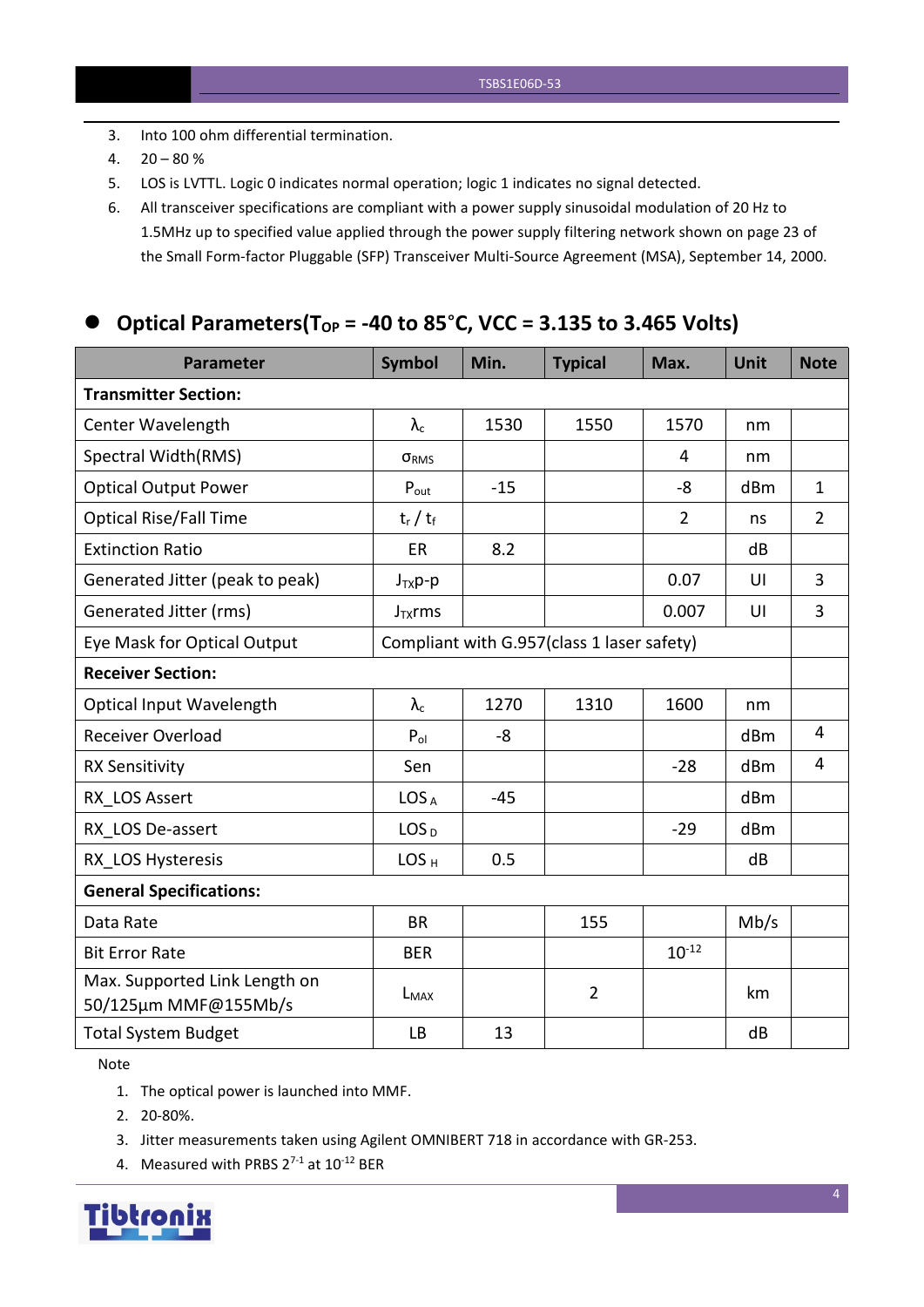- 3. Into 100 ohm differential termination.
- 4.  $20 80 \%$
- 5. LOS is LVTTL. Logic 0 indicates normal operation; logic 1 indicates no signal detected.
- 6. All transceiver specifications are compliant with a power supply sinusoidal modulation of 20 Hz to 1.5MHz up to specified value applied through the powersupply filtering network shown on page 23 of the Small Form-factor Pluggable (SFP) Transceiver Multi-Source Agreement (MSA), September 14, 2000.

## **Optical Parameters(T** $_{OP}$  = -40 to 85°C, VCC = 3.135 to 3.465 Volts)

| <b>Parameter</b>                                      | <b>Symbol</b>                              | Min.  | <b>Typical</b> | Max.           | <b>Unit</b> | <b>Note</b>    |
|-------------------------------------------------------|--------------------------------------------|-------|----------------|----------------|-------------|----------------|
| <b>Transmitter Section:</b>                           |                                            |       |                |                |             |                |
| Center Wavelength                                     | $\lambda_{\rm c}$                          | 1530  | 1550           | 1570           | nm          |                |
| Spectral Width(RMS)                                   | $\sigma_{RMS}$                             |       |                | 4              | nm          |                |
| <b>Optical Output Power</b>                           | $P_{\text{out}}$                           | $-15$ |                | -8             | dBm         | $\mathbf{1}$   |
| <b>Optical Rise/Fall Time</b>                         | $t_r / t_f$                                |       |                | $\overline{2}$ | ns          | $\overline{2}$ |
| <b>Extinction Ratio</b>                               | ER                                         | 8.2   |                |                | dB          |                |
| Generated Jitter (peak to peak)                       | $J_{TX}p-p$                                |       |                | 0.07           | UI          | $\overline{3}$ |
| Generated Jitter (rms)                                | $J_{TX}$ rms                               |       |                | 0.007          | UI          | $\overline{3}$ |
| Eye Mask for Optical Output                           | Compliant with G.957(class 1 laser safety) |       |                |                |             |                |
| <b>Receiver Section:</b>                              |                                            |       |                |                |             |                |
| <b>Optical Input Wavelength</b>                       | $\lambda_{\rm c}$                          | 1270  | 1310           | 1600           | nm          |                |
| Receiver Overload                                     | $P_{ol}$                                   | -8    |                |                | dBm         | $\overline{4}$ |
| <b>RX Sensitivity</b>                                 | Sen                                        |       |                | $-28$          | dBm         | $\overline{4}$ |
| RX LOS Assert                                         | LOS <sub>A</sub>                           | $-45$ |                |                | dBm         |                |
| RX_LOS De-assert                                      | LOS <sub>D</sub>                           |       |                | $-29$          | dBm         |                |
| RX LOS Hysteresis                                     | LOS <sub>H</sub>                           | 0.5   |                |                | dB          |                |
| <b>General Specifications:</b>                        |                                            |       |                |                |             |                |
| Data Rate                                             | <b>BR</b>                                  |       | 155            |                | Mb/s        |                |
| <b>Bit Error Rate</b>                                 | <b>BER</b>                                 |       |                | $10^{-12}$     |             |                |
| Max. Supported Link Length on<br>50/125µm MMF@155Mb/s | $L_{MAX}$                                  |       | $\overline{2}$ |                | km          |                |
| <b>Total System Budget</b>                            | <b>LB</b>                                  | 13    |                |                | dB          |                |

Note

- 1. The optical power is launched into MMF.
- 2. 20-80%.
- 3. Jitter measurements taken using Agilent OMNIBERT 718 in accordance with GR-253.
- 4. Measured with PRBS  $2^{7-1}$  at  $10^{-12}$  BER

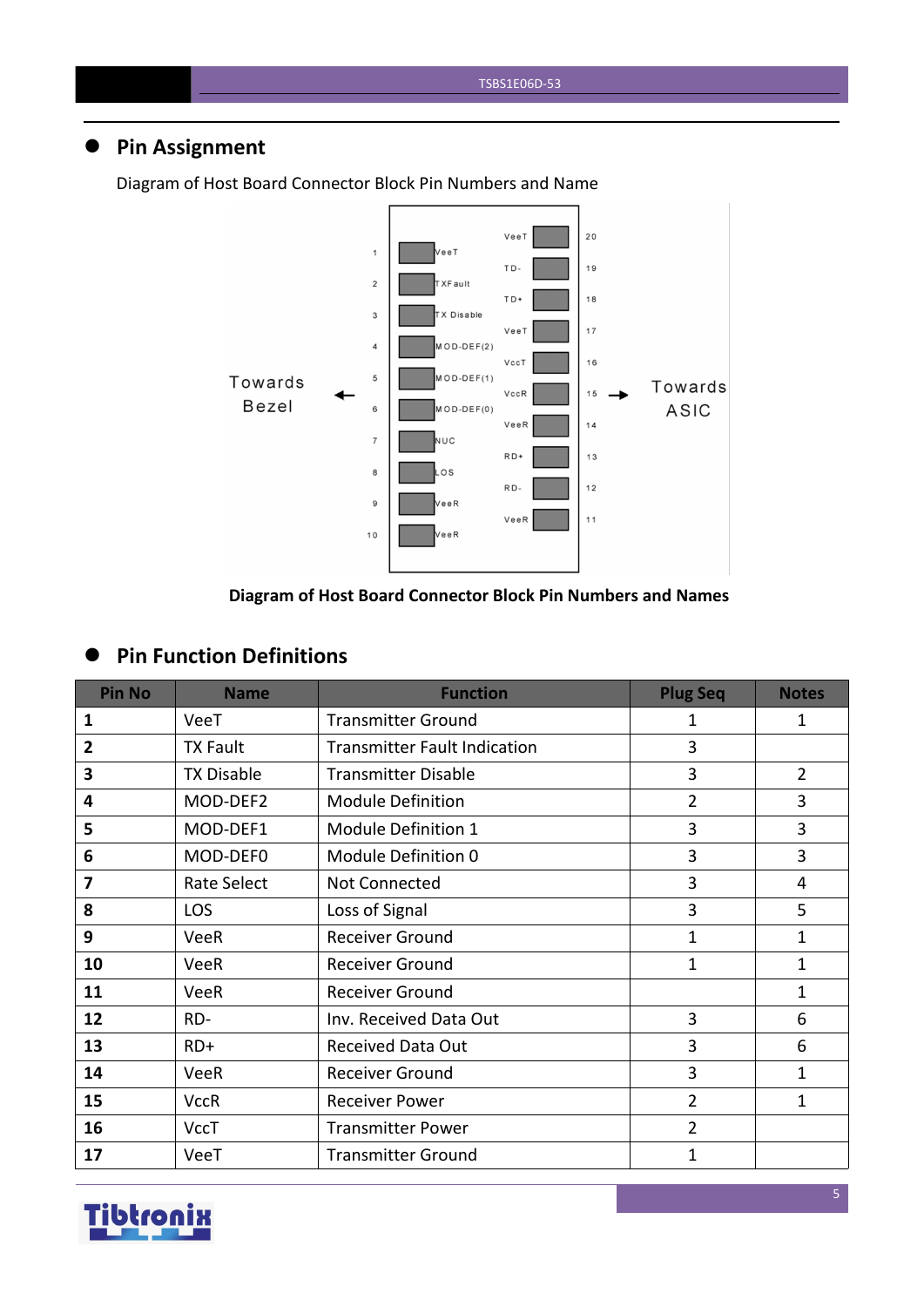## **Pin Assignment**



Diagram of Host Board Connector Block Pin Numbers and Name

#### **Diagram of Host Board Connector Block Pin Numbers and Names**

#### **Pin Function Definitions**

| <b>Pin No</b>  | <b>Name</b>       | <b>Function</b>                     | <b>Plug Seq</b> | <b>Notes</b>   |
|----------------|-------------------|-------------------------------------|-----------------|----------------|
| 1              | VeeT              | <b>Transmitter Ground</b>           | 1               | $\mathbf{1}$   |
| $\overline{2}$ | <b>TX Fault</b>   | <b>Transmitter Fault Indication</b> | $\overline{3}$  |                |
| 3              | <b>TX Disable</b> | <b>Transmitter Disable</b>          | $\overline{3}$  | $\overline{2}$ |
| 4              | MOD-DEF2          | <b>Module Definition</b>            | $\overline{2}$  | 3              |
| 5              | MOD-DEF1          | Module Definition 1                 | 3               | 3              |
| 6              | MOD-DEF0          | Module Definition 0                 | 3               | 3              |
| 7              | Rate Select       | Not Connected                       | 3               | $\overline{4}$ |
| 8              | <b>LOS</b>        | Loss of Signal                      | 3               | 5              |
| 9              | <b>VeeR</b>       | <b>Receiver Ground</b>              | $\mathbf{1}$    | 1              |
| 10             | <b>VeeR</b>       | Receiver Ground                     | $\mathbf{1}$    | 1              |
| 11             | <b>VeeR</b>       | <b>Receiver Ground</b>              |                 | $\mathbf{1}$   |
| 12             | RD-               | Inv. Received Data Out              | 3               | 6              |
| 13             | $RD+$             | <b>Received Data Out</b>            | 3               | 6              |
| 14             | VeeR              | <b>Receiver Ground</b>              | 3               | 1              |
| 15             | <b>VccR</b>       | <b>Receiver Power</b>               | $\overline{2}$  | $\mathbf{1}$   |
| 16             | <b>VccT</b>       | <b>Transmitter Power</b>            | $\overline{2}$  |                |
| 17             | VeeT              | <b>Transmitter Ground</b>           | 1               |                |

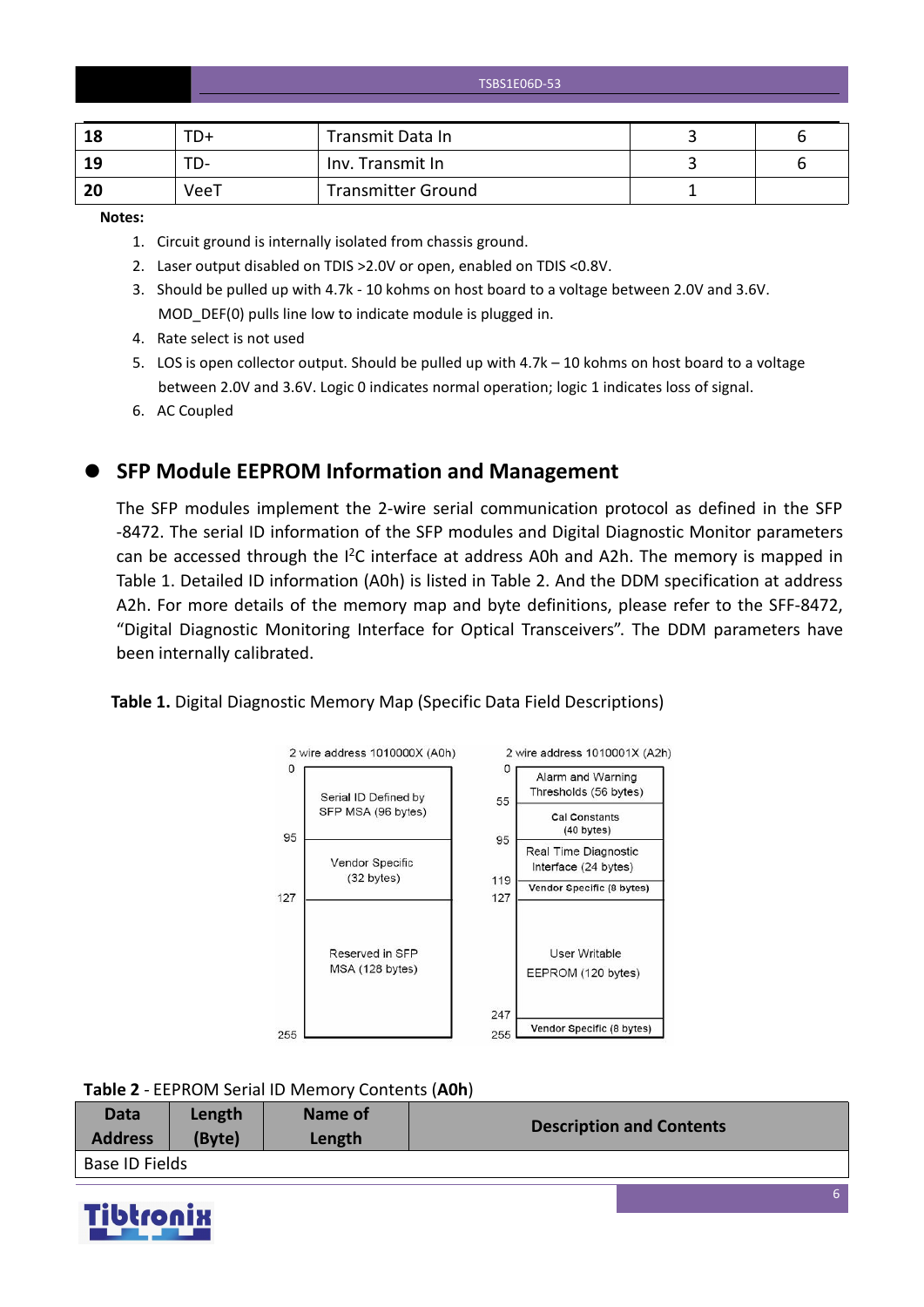TSBS1E06D-53

| 18             | TD+  | Transmit Data In          |  |
|----------------|------|---------------------------|--|
| 19             | ື່   | Inv. Transmit In          |  |
| <b>20</b><br>w | VeeT | <b>Transmitter Ground</b> |  |

**Notes:**

- 1. Circuit ground is internally isolated from chassis ground.
- 2. Laser output disabled on TDIS >2.0V or open, enabled on TDIS <0.8V.
- 3. Should be pulled up with 4.7k 10 kohms on host board to a voltage between 2.0V and 3.6V. MOD\_DEF(0) pulls line low to indicate module is plugged in.
- 4. Rate select is not used
- 5. LOS is open collector output. Should be pulled up with 4.7k 10 kohms on host board to a voltage between 2.0V and 3.6V. Logic 0 indicates normal operation; logic 1 indicates loss of signal.
- 6. AC Coupled

**SFP Module EEPROM Information and Management**

The SFP modules implement the 2-wire serial communication protocol as defined in the SFP -8472. The serial ID information of the SFP modules and Digital Diagnostic Monitor parameters can be accessed through the  $I^2C$  interface at address A0h and A2h. The memory is mapped in Table 1. Detailed ID information (A0h) is listed in Table 2. And the DDM specification at address A2h. For more details of the memory map and byte definitions, please refer to the SFF-8472, "Digital Diagnostic Monitoring Interface for Optical Transceivers". The DDM parameters have been internally calibrated.

#### **Table 1.** Digital Diagnostic Memory Map (Specific Data Field Descriptions)



**Table 2** - EEPROM Serial ID Memory Contents (**A0h**)

| Data           | Length | Name of | <b>Description and Contents</b> |
|----------------|--------|---------|---------------------------------|
| <b>Address</b> | (Byte) | Length  |                                 |
| Base ID Fields |        |         |                                 |

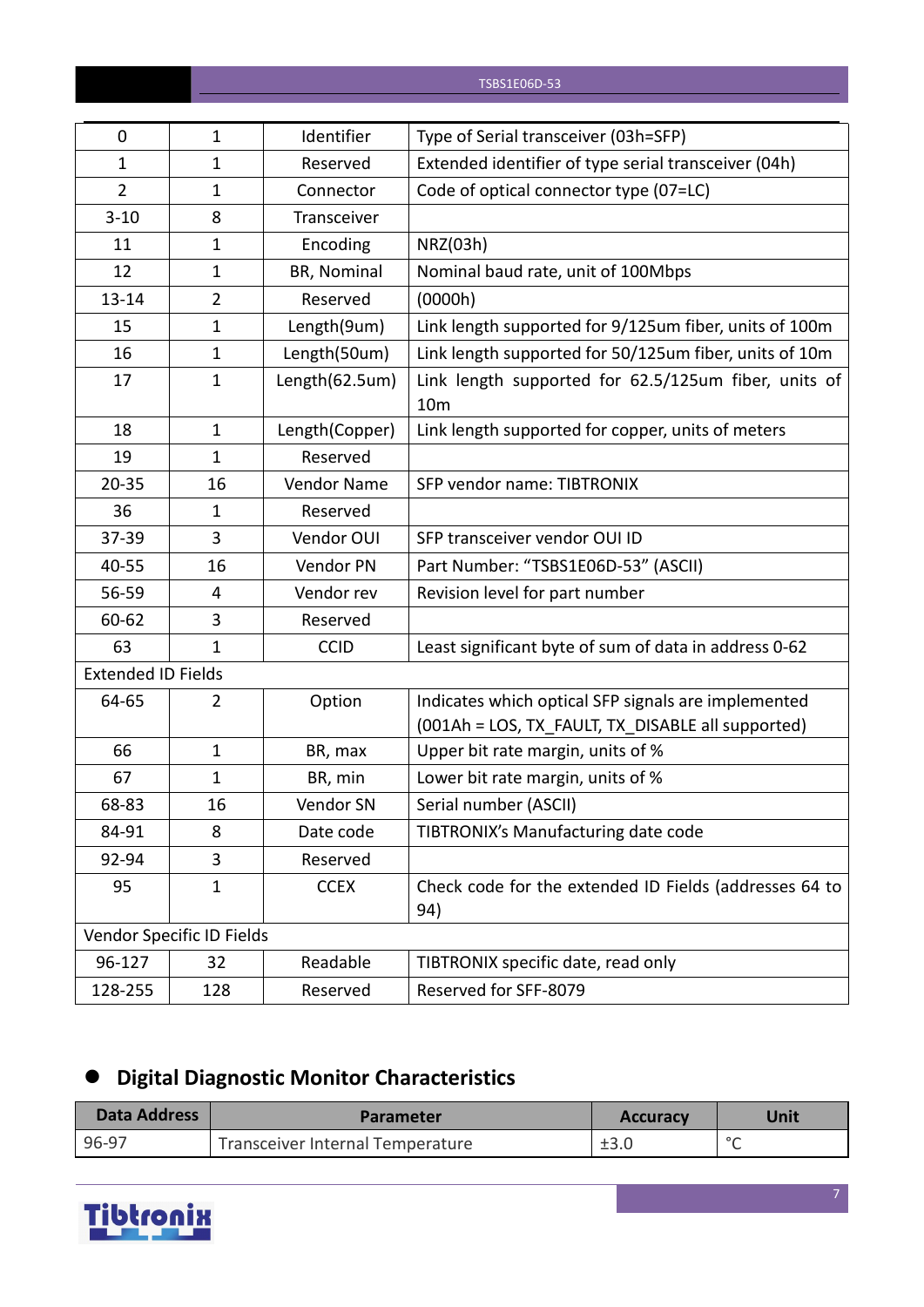| 0                         | $\mathbf{1}$              | Identifier     | Type of Serial transceiver (03h=SFP)                                                                     |
|---------------------------|---------------------------|----------------|----------------------------------------------------------------------------------------------------------|
| $\mathbf{1}$              | $\mathbf{1}$              | Reserved       | Extended identifier of type serial transceiver (04h)                                                     |
| $\overline{2}$            | $\mathbf{1}$              | Connector      | Code of optical connector type (07=LC)                                                                   |
| $3 - 10$                  | 8                         | Transceiver    |                                                                                                          |
| 11                        | $\mathbf{1}$              | Encoding       | NRZ(03h)                                                                                                 |
| 12                        | $\mathbf{1}$              | BR, Nominal    | Nominal baud rate, unit of 100Mbps                                                                       |
| 13-14                     | $\overline{2}$            | Reserved       | (0000h)                                                                                                  |
| 15                        | $\mathbf{1}$              | Length(9um)    | Link length supported for 9/125um fiber, units of 100m                                                   |
| 16                        | $\mathbf{1}$              | Length(50um)   | Link length supported for 50/125um fiber, units of 10m                                                   |
| 17                        | $\mathbf{1}$              | Length(62.5um) | Link length supported for 62.5/125um fiber, units of<br>10 <sub>m</sub>                                  |
| 18                        | $\mathbf{1}$              | Length(Copper) | Link length supported for copper, units of meters                                                        |
| 19                        | $\mathbf{1}$              | Reserved       |                                                                                                          |
| $20 - 35$                 | 16                        | Vendor Name    | SFP vendor name: TIBTRONIX                                                                               |
| 36                        | $\mathbf{1}$              | Reserved       |                                                                                                          |
| 37-39                     | 3                         | Vendor OUI     | SFP transceiver vendor OUI ID                                                                            |
| 40-55                     | 16                        | Vendor PN      | Part Number: "TSBS1E06D-53" (ASCII)                                                                      |
| 56-59                     | 4                         | Vendor rev     | Revision level for part number                                                                           |
| 60-62                     | 3                         | Reserved       |                                                                                                          |
| 63                        | $\mathbf{1}$              | <b>CCID</b>    | Least significant byte of sum of data in address 0-62                                                    |
| <b>Extended ID Fields</b> |                           |                |                                                                                                          |
| 64-65                     | $\overline{2}$            | Option         | Indicates which optical SFP signals are implemented<br>(001Ah = LOS, TX_FAULT, TX_DISABLE all supported) |
| 66                        | $\mathbf{1}$              | BR, max        | Upper bit rate margin, units of %                                                                        |
| 67                        | $\mathbf{1}$              | BR, min        | Lower bit rate margin, units of %                                                                        |
| 68-83                     | 16                        | Vendor SN      | Serial number (ASCII)                                                                                    |
| 84-91                     | 8                         | Date code      | TIBTRONIX's Manufacturing date code                                                                      |
| 92-94                     | 3                         | Reserved       |                                                                                                          |
| 95                        | $\mathbf{1}$              | <b>CCEX</b>    | Check code for the extended ID Fields (addresses 64 to<br>94)                                            |
|                           | Vendor Specific ID Fields |                |                                                                                                          |
| 96-127                    | 32                        | Readable       | TIBTRONIX specific date, read only                                                                       |
| 128-255                   | 128                       | Reserved       | Reserved for SFF-8079                                                                                    |

# **Digital Diagnostic Monitor Characteristics**

| <b>Data Address</b> | <b>Parameter</b>                 | <b>Accuracy</b> | Unit    |
|---------------------|----------------------------------|-----------------|---------|
| 96-97               | Transceiver Internal Temperature | ±3.0            | $\circ$ |

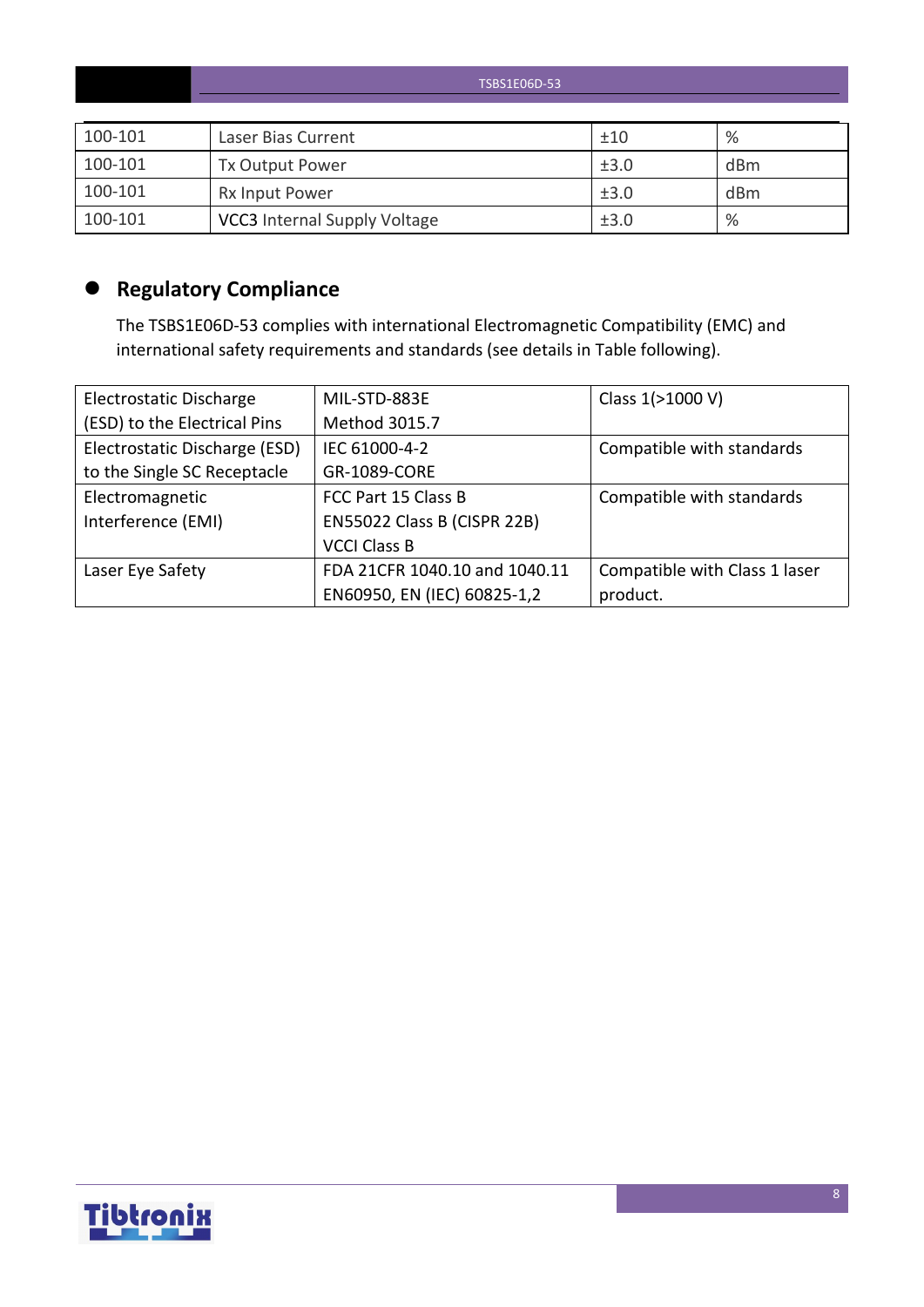|         | TSBS1E06D-53                        |      |                 |  |  |  |  |
|---------|-------------------------------------|------|-----------------|--|--|--|--|
|         |                                     |      |                 |  |  |  |  |
| 100-101 | Laser Bias Current                  | ±10  | %               |  |  |  |  |
| 100-101 | Tx Output Power                     | ±3.0 | dBm             |  |  |  |  |
| 100-101 | <b>Rx Input Power</b>               | ±3.0 | d <sub>Bm</sub> |  |  |  |  |
| 100-101 | <b>VCC3</b> Internal Supply Voltage | ±3.0 | %               |  |  |  |  |

# **Regulatory Compliance**

The TSBS1E06D-53 complies with international Electromagnetic Compatibility (EMC) and international safety requirements and standards (see details in Table following).

| Electrostatic Discharge       | MIL-STD-883E                  | Class 1(>1000 V)              |
|-------------------------------|-------------------------------|-------------------------------|
| (ESD) to the Electrical Pins  | Method 3015.7                 |                               |
| Electrostatic Discharge (ESD) | IEC 61000-4-2                 | Compatible with standards     |
| to the Single SC Receptacle   | GR-1089-CORE                  |                               |
| Electromagnetic               | FCC Part 15 Class B           | Compatible with standards     |
| Interference (EMI)            | EN55022 Class B (CISPR 22B)   |                               |
|                               | <b>VCCI Class B</b>           |                               |
| Laser Eye Safety              | FDA 21CFR 1040.10 and 1040.11 | Compatible with Class 1 laser |
|                               | EN60950, EN (IEC) 60825-1,2   | product.                      |

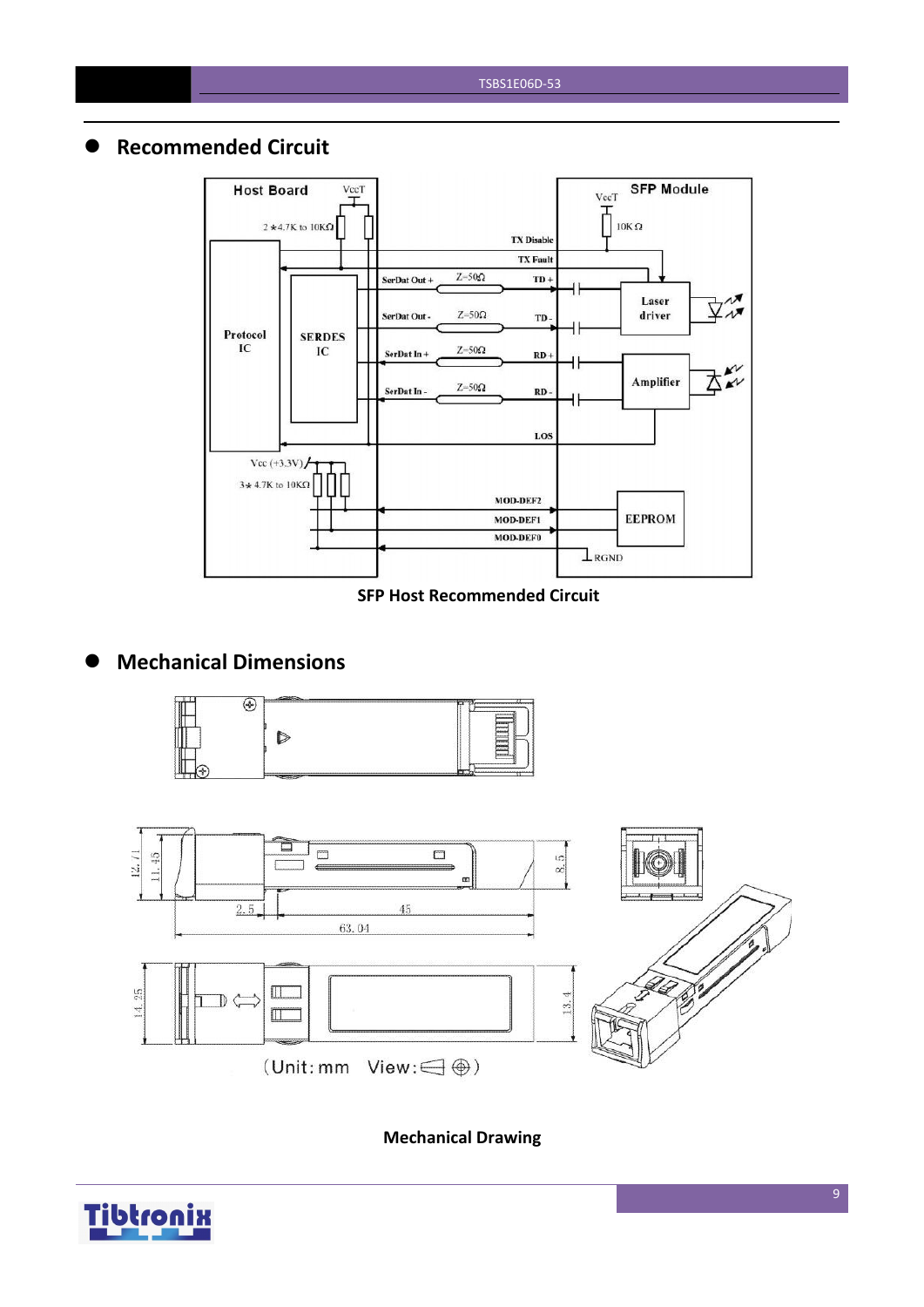#### **Recommended Circuit**



#### **SFP Host Recommended Circuit**

## **Mechanical Dimensions**





**Mechanical Drawing**